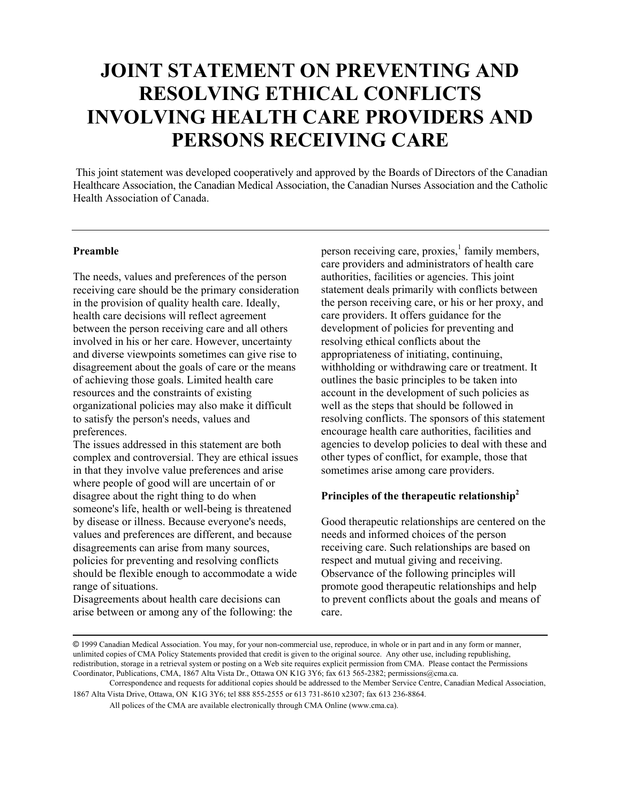# **JOINT STATEMENT ON PREVENTING AND RESOLVING ETHICAL CONFLICTS INVOLVING HEALTH CARE PROVIDERS AND PERSONS RECEIVING CARE**

This joint statement was developed cooperatively and approved by the Boards of Directors of the Canadian Healthcare Association, the Canadian Medical Association, the Canadian Nurses Association and the Catholic Health Association of Canada.

#### **Preamble**

The needs, values and preferences of the person receiving care should be the primary consideration in the provision of quality health care. Ideally, health care decisions will reflect agreement between the person receiving care and all others involved in his or her care. However, uncertainty and diverse viewpoints sometimes can give rise to disagreement about the goals of care or the means of achieving those goals. Limited health care resources and the constraints of existing organizational policies may also make it difficult to satisfy the person's needs, values and preferences.

The issues addressed in this statement are both complex and controversial. They are ethical issues in that they involve value preferences and arise where people of good will are uncertain of or disagree about the right thing to do when someone's life, health or well-being is threatened by disease or illness. Because everyone's needs, values and preferences are different, and because disagreements can arise from many sources, policies for preventing and resolving conflicts should be flexible enough to accommodate a wide range of situations.

Disagreements about health care decisions can arise between or among any of the following: the

person receiving care, proxies,<sup>[1](#page-3-0)</sup> family members, care providers and administrators of health care authorities, facilities or agencies. This joint statement deals primarily with conflicts between the person receiving care, or his or her proxy, and care providers. It offers guidance for the development of policies for preventing and resolving ethical conflicts about the appropriateness of initiating, continuing, withholding or withdrawing care or treatment. It outlines the basic principles to be taken into account in the development of such policies as well as the steps that should be followed in resolving conflicts. The sponsors of this statement encourage health care authorities, facilities and agencies to develop policies to deal with these and other types of conflict, for example, those that sometimes arise among care providers.

## **Principles of the therapeutic relationship[2](#page-3-1)**

Good therapeutic relationships are centered on the needs and informed choices of the person receiving care. Such relationships are based on respect and mutual giving and receiving. Observance of the following principles will promote good therapeutic relationships and help to prevent conflicts about the goals and means of care.

<sup>©</sup> 1999 Canadian Medical Association. You may, for your non-commercial use, reproduce, in whole or in part and in any form or manner, unlimited copies of CMA Policy Statements provided that credit is given to the original source. Any other use, including republishing, redistribution, storage in a retrieval system or posting on a Web site requires explicit permission from CMA. Please contact the Permissions Coordinator, Publications, CMA, 1867 Alta Vista Dr., Ottawa ON K1G 3Y6; fax 613 565-2382; permissions@cma.ca.

Correspondence and requests for additional copies should be addressed to the Member Service Centre, Canadian Medical Association, 1867 Alta Vista Drive, Ottawa, ON K1G 3Y6; tel 888 855-2555 or 613 731-8610 x2307; fax 613 236-8864.

All polices of the CMA are available electronically through CMA Online (www.cma.ca).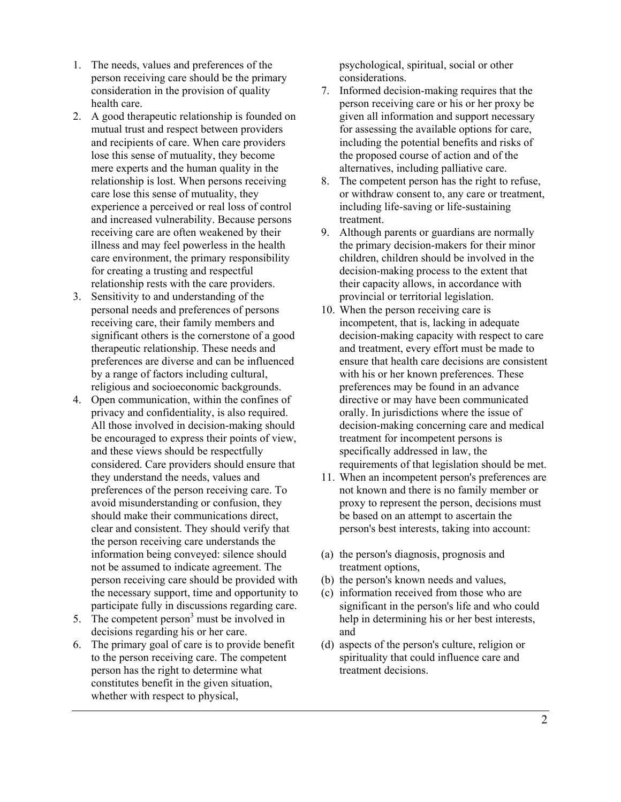- 1. The needs, values and preferences of the person receiving care should be the primary consideration in the provision of quality health care.
- 2. A good therapeutic relationship is founded on mutual trust and respect between providers and recipients of care. When care providers lose this sense of mutuality, they become mere experts and the human quality in the relationship is lost. When persons receiving care lose this sense of mutuality, they experience a perceived or real loss of control and increased vulnerability. Because persons receiving care are often weakened by their illness and may feel powerless in the health care environment, the primary responsibility for creating a trusting and respectful relationship rests with the care providers.
- 3. Sensitivity to and understanding of the personal needs and preferences of persons receiving care, their family members and significant others is the cornerstone of a good therapeutic relationship. These needs and preferences are diverse and can be influenced by a range of factors including cultural, religious and socioeconomic backgrounds.
- 4. Open communication, within the confines of privacy and confidentiality, is also required. All those involved in decision-making should be encouraged to express their points of view, and these views should be respectfully considered. Care providers should ensure that they understand the needs, values and preferences of the person receiving care. To avoid misunderstanding or confusion, they should make their communications direct, clear and consistent. They should verify that the person receiving care understands the information being conveyed: silence should not be assumed to indicate agreement. The person receiving care should be provided with the necessary support, time and opportunity to participate fully in discussions regarding care.
- 5. The competent person<sup>[3](#page-4-0)</sup> must be involved in decisions regarding his or her care.
- 6. The primary goal of care is to provide benefit to the person receiving care. The competent person has the right to determine what constitutes benefit in the given situation, whether with respect to physical,

psychological, spiritual, social or other considerations.

- 7. Informed decision-making requires that the person receiving care or his or her proxy be given all information and support necessary for assessing the available options for care, including the potential benefits and risks of the proposed course of action and of the alternatives, including palliative care.
- 8. The competent person has the right to refuse, or withdraw consent to, any care or treatment, including life-saving or life-sustaining treatment.
- 9. Although parents or guardians are normally the primary decision-makers for their minor children, children should be involved in the decision-making process to the extent that their capacity allows, in accordance with provincial or territorial legislation.
- 10. When the person receiving care is incompetent, that is, lacking in adequate decision-making capacity with respect to care and treatment, every effort must be made to ensure that health care decisions are consistent with his or her known preferences. These preferences may be found in an advance directive or may have been communicated orally. In jurisdictions where the issue of decision-making concerning care and medical treatment for incompetent persons is specifically addressed in law, the requirements of that legislation should be met.
- 11. When an incompetent person's preferences are not known and there is no family member or proxy to represent the person, decisions must be based on an attempt to ascertain the person's best interests, taking into account:
- (a) the person's diagnosis, prognosis and treatment options,
- (b) the person's known needs and values,
- (c) information received from those who are significant in the person's life and who could help in determining his or her best interests, and
- (d) aspects of the person's culture, religion or spirituality that could influence care and treatment decisions.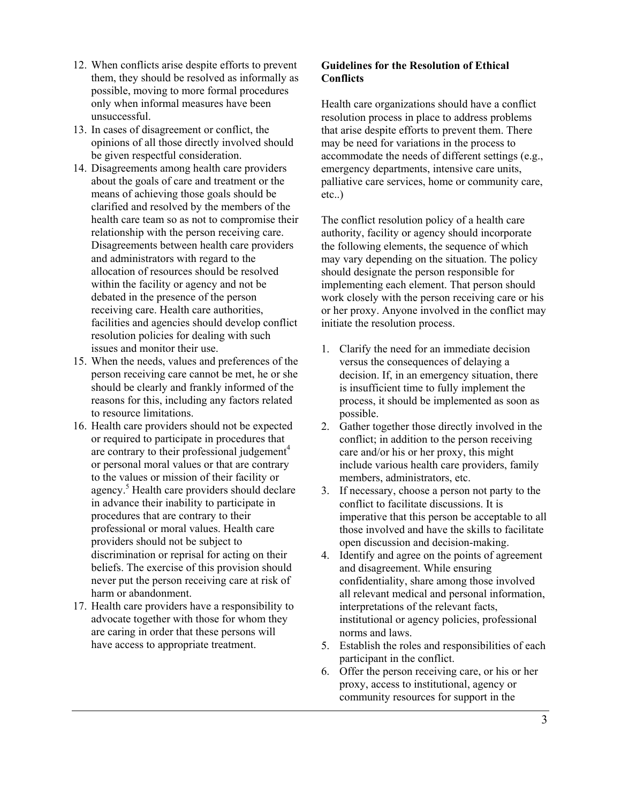- 12. When conflicts arise despite efforts to prevent them, they should be resolved as informally as possible, moving to more formal procedures only when informal measures have been unsuccessful.
- 13. In cases of disagreement or conflict, the opinions of all those directly involved should be given respectful consideration.
- 14. Disagreements among health care providers about the goals of care and treatment or the means of achieving those goals should be clarified and resolved by the members of the health care team so as not to compromise their relationship with the person receiving care. Disagreements between health care providers and administrators with regard to the allocation of resources should be resolved within the facility or agency and not be debated in the presence of the person receiving care. Health care authorities, facilities and agencies should develop conflict resolution policies for dealing with such issues and monitor their use.
- 15. When the needs, values and preferences of the person receiving care cannot be met, he or she should be clearly and frankly informed of the reasons for this, including any factors related to resource limitations.
- 16. Health care providers should not be expected or required to participate in procedures that are contrary to their professional judgement<sup>[4](#page-4-1)</sup> or personal moral values or that are contrary to the values or mission of their facility or agency.<sup>[5](#page-4-2)</sup> Health care providers should declare in advance their inability to participate in procedures that are contrary to their professional or moral values. Health care providers should not be subject to discrimination or reprisal for acting on their beliefs. The exercise of this provision should never put the person receiving care at risk of harm or abandonment.
- 17. Health care providers have a responsibility to advocate together with those for whom they are caring in order that these persons will have access to appropriate treatment.

### **Guidelines for the Resolution of Ethical Conflicts**

Health care organizations should have a conflict resolution process in place to address problems that arise despite efforts to prevent them. There may be need for variations in the process to accommodate the needs of different settings (e.g., emergency departments, intensive care units, palliative care services, home or community care, etc..)

The conflict resolution policy of a health care authority, facility or agency should incorporate the following elements, the sequence of which may vary depending on the situation. The policy should designate the person responsible for implementing each element. That person should work closely with the person receiving care or his or her proxy. Anyone involved in the conflict may initiate the resolution process.

- 1. Clarify the need for an immediate decision versus the consequences of delaying a decision. If, in an emergency situation, there is insufficient time to fully implement the process, it should be implemented as soon as possible.
- 2. Gather together those directly involved in the conflict; in addition to the person receiving care and/or his or her proxy, this might include various health care providers, family members, administrators, etc.
- 3. If necessary, choose a person not party to the conflict to facilitate discussions. It is imperative that this person be acceptable to all those involved and have the skills to facilitate open discussion and decision-making.
- 4. Identify and agree on the points of agreement and disagreement. While ensuring confidentiality, share among those involved all relevant medical and personal information, interpretations of the relevant facts, institutional or agency policies, professional norms and laws.
- 5. Establish the roles and responsibilities of each participant in the conflict.
- 6. Offer the person receiving care, or his or her proxy, access to institutional, agency or community resources for support in the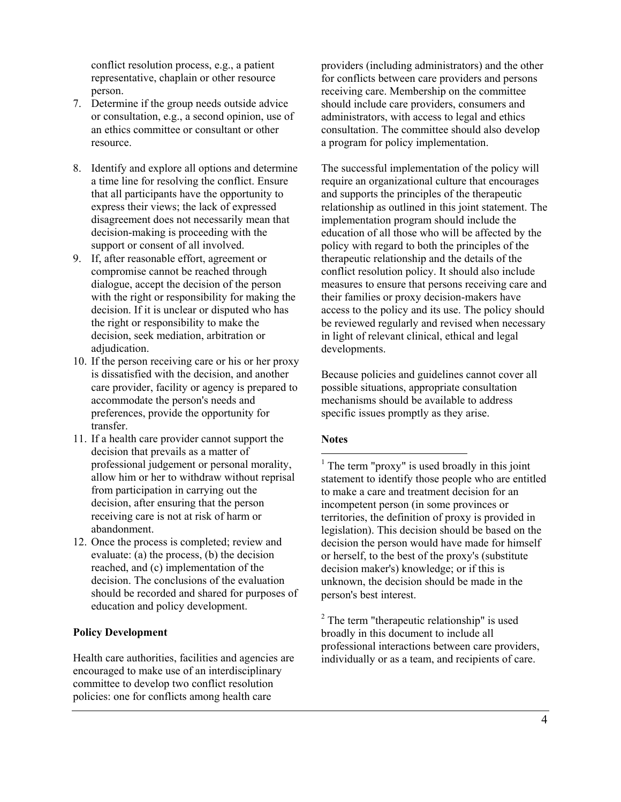conflict resolution process, e.g., a patient representative, chaplain or other resource person.

- 7. Determine if the group needs outside advice or consultation, e.g., a second opinion, use of an ethics committee or consultant or other resource.
- 8. Identify and explore all options and determine a time line for resolving the conflict. Ensure that all participants have the opportunity to express their views; the lack of expressed disagreement does not necessarily mean that decision-making is proceeding with the support or consent of all involved.
- 9. If, after reasonable effort, agreement or compromise cannot be reached through dialogue, accept the decision of the person with the right or responsibility for making the decision. If it is unclear or disputed who has the right or responsibility to make the decision, seek mediation, arbitration or adjudication.
- 10. If the person receiving care or his or her proxy is dissatisfied with the decision, and another care provider, facility or agency is prepared to accommodate the person's needs and preferences, provide the opportunity for transfer.
- <span id="page-3-0"></span>11. If a health care provider cannot support the decision that prevails as a matter of professional judgement or personal morality, allow him or her to withdraw without reprisal from participation in carrying out the decision, after ensuring that the person receiving care is not at risk of harm or abandonment.
- <span id="page-3-1"></span>12. Once the process is completed; review and evaluate: (a) the process, (b) the decision reached, and (c) implementation of the decision. The conclusions of the evaluation should be recorded and shared for purposes of education and policy development.

### **Policy Development**

Health care authorities, facilities and agencies are encouraged to make use of an interdisciplinary committee to develop two conflict resolution policies: one for conflicts among health care

providers (including administrators) and the other for conflicts between care providers and persons receiving care. Membership on the committee should include care providers, consumers and administrators, with access to legal and ethics consultation. The committee should also develop a program for policy implementation.

The successful implementation of the policy will require an organizational culture that encourages and supports the principles of the therapeutic relationship as outlined in this joint statement. The implementation program should include the education of all those who will be affected by the policy with regard to both the principles of the therapeutic relationship and the details of the conflict resolution policy. It should also include measures to ensure that persons receiving care and their families or proxy decision-makers have access to the policy and its use. The policy should be reviewed regularly and revised when necessary in light of relevant clinical, ethical and legal developments.

Because policies and guidelines cannot cover all possible situations, appropriate consultation mechanisms should be available to address specific issues promptly as they arise.

#### **Notes**

 $\overline{a}$ <sup>1</sup> The term "proxy" is used broadly in this joint statement to identify those people who are entitled to make a care and treatment decision for an incompetent person (in some provinces or territories, the definition of proxy is provided in legislation). This decision should be based on the decision the person would have made for himself or herself, to the best of the proxy's (substitute decision maker's) knowledge; or if this is unknown, the decision should be made in the person's best interest.

<sup>2</sup> The term "therapeutic relationship" is used broadly in this document to include all professional interactions between care providers, individually or as a team, and recipients of care.